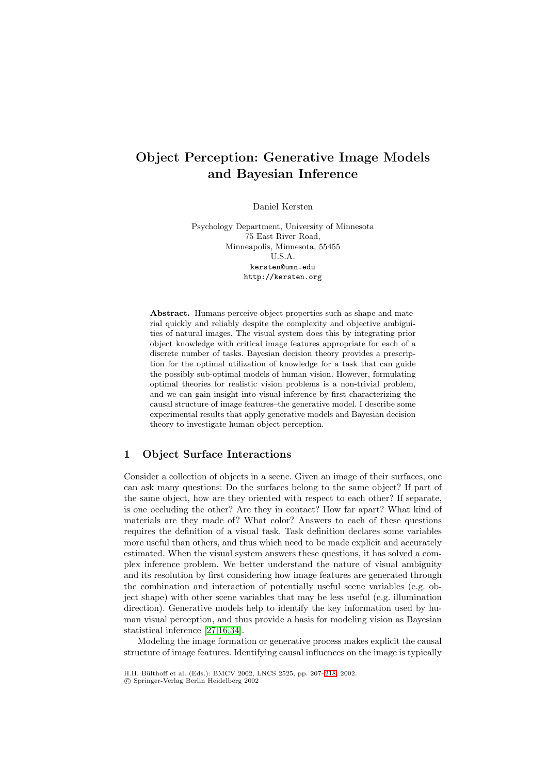# **Object Perception: Generative Image Models and Bayesian Inference**

Daniel Kersten

Psychology Department, University of Minnesota 75 East River Road, Minneapolis, Minnesota, 55455 U.S.A. kersten@umn.edu http://kersten.org

**Abstract.** Humans perceive object properties such as shape and material quickly and reliably despite the complexity and objective ambiguities of natural images. The visual system does this by integrating prior object knowledge with critical image features appropriate for each of a discrete number of tasks. Bayesian decision theory provides a prescription for the optimal utilization of knowledge for a task that can guide the possibly sub-optimal models of human vision. However, formulating optimal theories for realistic vision problems is a non-trivial problem, and we can gain insight into visual inference by first characterizing the causal structure of image features–the generative model. I describe some experimental results that apply generative models and Bayesian decision theory to investigate human object perception.

# **1 Object Surface Interactions**

Consider a collection of objects in a scene. Given an image of their surfaces, one can ask many questions: Do the surfaces belong to the same object? If part of the same object, how are they oriented with respect to each other? If separate, is one occluding the other? Are they in contact? How far apart? What kind of materials are they made of? What color? Answers to each of these questions requires the definition of a visual task. Task definition declares some variables more useful than others, and thus which need to be made explicit and accurately estimated. When the visual system answers these questions, it has solved a complex inference problem. We better understand the nature of visual ambiguity and its resolution by first considering how image features are generated through the combination and interaction of potentially useful scene variables (e.g. object shape) with other scene variables that may be less useful (e.g. illumination direction). Generative models help to identify the key information used by human visual perception, and thus provide a basis for modeling vision as Bayesian statistical inference [\[27,](#page-11-0)[16,](#page-10-0)[34\]](#page-11-0).

Modeling the image formation or generative process makes explicit the causal structure of image features. Identifying causal influences on the image is typically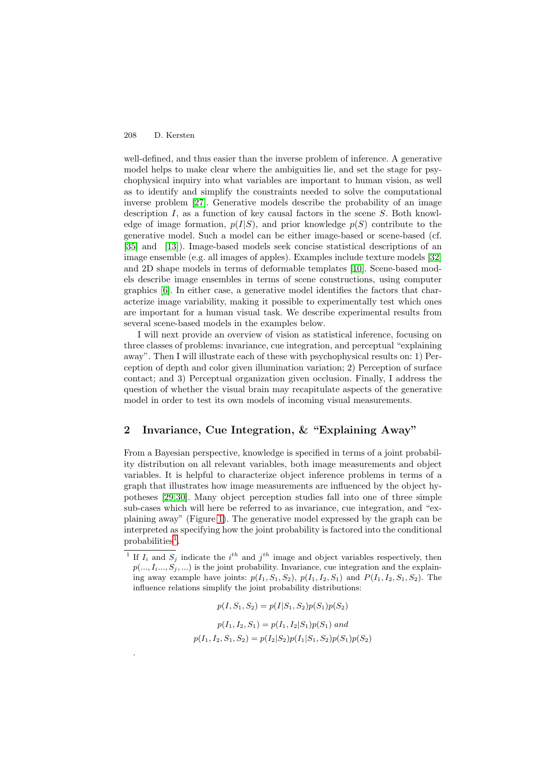.

well-defined, and thus easier than the inverse problem of inference. A generative model helps to make clear where the ambiguities lie, and set the stage for psychophysical inquiry into what variables are important to human vision, as well as to identify and simplify the constraints needed to solve the computational inverse problem [\[27\]](#page-11-0). Generative models describe the probability of an image description  $I$ , as a function of key causal factors in the scene  $S$ . Both knowledge of image formation,  $p(I|S)$ , and prior knowledge  $p(S)$  contribute to the generative model. Such a model can be either image-based or scene-based (cf. [\[35\]](#page-11-0) and [\[13\]](#page-10-0)). Image-based models seek concise statistical descriptions of an image ensemble (e.g. all images of apples). Examples include texture models [\[32\]](#page-11-0) and 2D shape models in terms of deformable templates [\[10\]](#page-10-0). Scene-based models describe image ensembles in terms of scene constructions, using computer graphics [\[6\]](#page-10-0). In either case, a generative model identifies the factors that characterize image variability, making it possible to experimentally test which ones are important for a human visual task. We describe experimental results from several scene-based models in the examples below.

I will next provide an overview of vision as statistical inference, focusing on three classes of problems: invariance, cue integration, and perceptual "explaining away". Then I will illustrate each of these with psychophysical results on: 1) Perception of depth and color given illumination variation; 2) Perception of surface contact; and 3) Perceptual organization given occlusion. Finally, I address the question of whether the visual brain may recapitulate aspects of the generative model in order to test its own models of incoming visual measurements.

# **2 Invariance, Cue Integration, & "Explaining Away"**

From a Bayesian perspective, knowledge is specified in terms of a joint probability distribution on all relevant variables, both image measurements and object variables. It is helpful to characterize object inference problems in terms of a graph that illustrates how image measurements are influenced by the object hypotheses [\[29,30\]](#page-11-0). Many object perception studies fall into one of three simple sub-cases which will here be referred to as invariance, cue integration, and "explaining away" (Figure [1\)](#page-2-0). The generative model expressed by the graph can be interpreted as specifying how the joint probability is factored into the conditional  $probabilities<sup>1</sup>$ .

$$
p(I, S_1, S_2) = p(I|S_1, S_2)p(S_1)p(S_2)
$$

$$
p(I_1, I_2, S_1) = p(I_1, I_2|S_1)p(S_1) \text{ and}
$$

$$
p(I_1, I_2, S_1, S_2) = p(I_2|S_2)p(I_1|S_1, S_2)p(S_1)p(S_2)
$$

<sup>&</sup>lt;sup>1</sup> If  $I_i$  and  $S_j$  indicate the  $i^{th}$  and  $j^{th}$  image and object variables respectively, then  $p(..., I,..., S_j,...)$  is the joint probability. Invariance, cue integration and the explaining away example have joints:  $p(I_1, S_1, S_2), p(I_1, I_2, S_1)$  and  $P(I_1, I_2, S_1, S_2)$ . The influence relations simplify the joint probability distributions: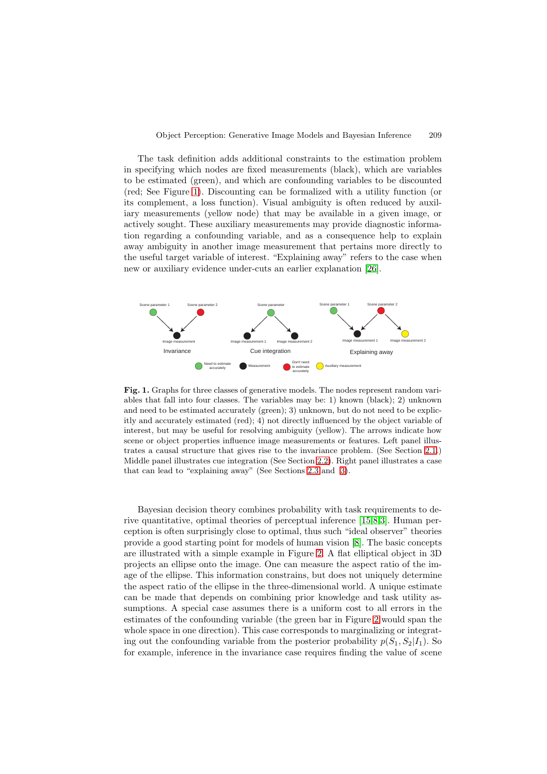<span id="page-2-0"></span>The task definition adds additional constraints to the estimation problem in specifying which nodes are fixed measurements (black), which are variables to be estimated (green), and which are confounding variables to be discounted (red; See Figure 1). Discounting can be formalized with a utility function (or its complement, a loss function). Visual ambiguity is often reduced by auxiliary measurements (yellow node) that may be available in a given image, or actively sought. These auxiliary measurements may provide diagnostic information regarding a confounding variable, and as a consequence help to explain away ambiguity in another image measurement that pertains more directly to the useful target variable of interest. "Explaining away" refers to the case when new or auxiliary evidence under-cuts an earlier explanation [\[26\]](#page-11-0).



**Fig. 1.** Graphs for three classes of generative models. The nodes represent random variables that fall into four classes. The variables may be: 1) known (black); 2) unknown and need to be estimated accurately (green); 3) unknown, but do not need to be explicitly and accurately estimated (red); 4) not directly influenced by the object variable of interest, but may be useful for resolving ambiguity (yellow). The arrows indicate how scene or object properties influence image measurements or features. Left panel illustrates a causal structure that gives rise to the invariance problem. (See Section [2.1.](#page-4-0)) Middle panel illustrates cue integration (See Section [2.2\)](#page-5-0). Right panel illustrates a case that can lead to "explaining away" (See Sections [2.3](#page-7-0) and [3\)](#page-8-0).

Bayesian decision theory combines probability with task requirements to derive quantitative, optimal theories of perceptual inference [\[15,8,3\]](#page-10-0). Human perception is often surprisingly close to optimal, thus such "ideal observer" theories provide a good starting point for models of human vision [\[8\]](#page-10-0). The basic concepts are illustrated with a simple example in Figure [2.](#page-3-0) A flat elliptical object in 3D projects an ellipse onto the image. One can measure the aspect ratio of the image of the ellipse. This information constrains, but does not uniquely determine the aspect ratio of the ellipse in the three-dimensional world. A unique estimate can be made that depends on combining prior knowledge and task utility assumptions. A special case assumes there is a uniform cost to all errors in the estimates of the confounding variable (the green bar in Figure [2](#page-3-0) would span the whole space in one direction). This case corresponds to marginalizing or integrating out the confounding variable from the posterior probability  $p(S_1, S_2|I_1)$ . So for example, inference in the invariance case requires finding the value of scene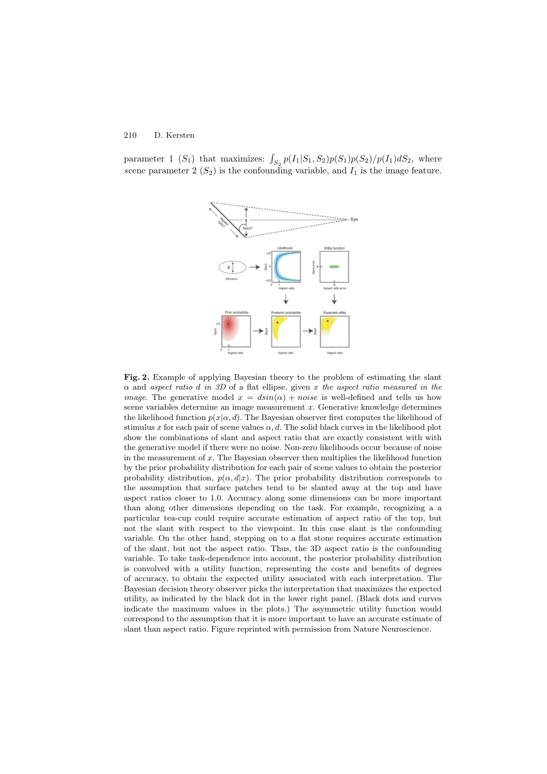<span id="page-3-0"></span>parameter 1  $(S_1)$  that maximizes:  $\int_{S_2} p(I_1|S_1, S_2)p(S_1)p(S_2)/p(I_1)dS_2$ , where scene parameter  $2(S_2)$  is the confounding variable, and  $I_1$  is the image feature.



**Fig. 2.** Example of applying Bayesian theory to the problem of estimating the slant  $\alpha$  and aspect ratio d in 3D of a flat ellipse, given x the aspect ratio measured in the *image.* The generative model  $x = dsin(\alpha) + noise$  is well-defined and tells us how scene variables determine an image measurement  $x$ . Generative knowledge determines the likelihood function  $p(x|\alpha, d)$ . The Bayesian observer first computes the likelihood of stimulus x for each pair of scene values  $\alpha$ , d. The solid black curves in the likelihood plot show the combinations of slant and aspect ratio that are exactly consistent with with the generative model if there were no noise. Non-zero likelihoods occur because of noise in the measurement of  $x$ . The Bayesian observer then multiplies the likelihood function by the prior probability distribution for each pair of scene values to obtain the posterior probability distribution,  $p(\alpha, d|x)$ . The prior probability distribution corresponds to the assumption that surface patches tend to be slanted away at the top and have aspect ratios closer to 1.0. Accuracy along some dimensions can be more important than along other dimensions depending on the task. For example, recognizing a a particular tea-cup could require accurate estimation of aspect ratio of the top, but not the slant with respect to the viewpoint. In this case slant is the confounding variable. On the other hand, stepping on to a flat stone requires accurate estimation of the slant, but not the aspect ratio. Thus, the 3D aspect ratio is the confounding variable. To take task-dependence into account, the posterior probability distribution is convolved with a utility function, representing the costs and benefits of degrees of accuracy, to obtain the expected utility associated with each interpretation. The Bayesian decision theory observer picks the interpretation that maximizes the expected utility, as indicated by the black dot in the lower right panel. (Black dots and curves indicate the maximum values in the plots.) The asymmetric utility function would correspond to the assumption that it is more important to have an accurate estimate of slant than aspect ratio. Figure reprinted with permission from Nature Neuroscience.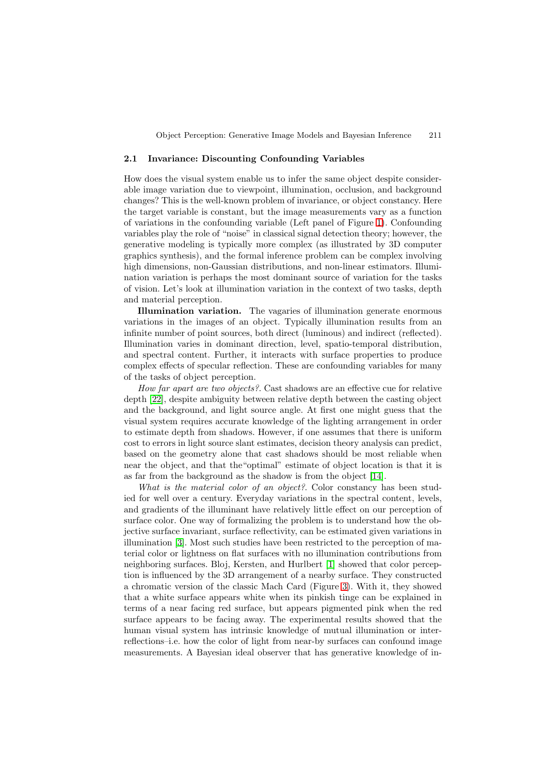#### <span id="page-4-0"></span>**2.1 Invariance: Discounting Confounding Variables**

How does the visual system enable us to infer the same object despite considerable image variation due to viewpoint, illumination, occlusion, and background changes? This is the well-known problem of invariance, or object constancy. Here the target variable is constant, but the image measurements vary as a function of variations in the confounding variable (Left panel of Figure [1\)](#page-2-0). Confounding variables play the role of "noise" in classical signal detection theory; however, the generative modeling is typically more complex (as illustrated by 3D computer graphics synthesis), and the formal inference problem can be complex involving high dimensions, non-Gaussian distributions, and non-linear estimators. Illumination variation is perhaps the most dominant source of variation for the tasks of vision. Let's look at illumination variation in the context of two tasks, depth and material perception.

**Illumination variation.** The vagaries of illumination generate enormous variations in the images of an object. Typically illumination results from an infinite number of point sources, both direct (luminous) and indirect (reflected). Illumination varies in dominant direction, level, spatio-temporal distribution, and spectral content. Further, it interacts with surface properties to produce complex effects of specular reflection. These are confounding variables for many of the tasks of object perception.

How far apart are two objects?. Cast shadows are an effective cue for relative depth [\[22\]](#page-11-0), despite ambiguity between relative depth between the casting object and the background, and light source angle. At first one might guess that the visual system requires accurate knowledge of the lighting arrangement in order to estimate depth from shadows. However, if one assumes that there is uniform cost to errors in light source slant estimates, decision theory analysis can predict, based on the geometry alone that cast shadows should be most reliable when near the object, and that the"optimal" estimate of object location is that it is as far from the background as the shadow is from the object [\[14\]](#page-10-0).

What is the material color of an object?. Color constancy has been studied for well over a century. Everyday variations in the spectral content, levels, and gradients of the illuminant have relatively little effect on our perception of surface color. One way of formalizing the problem is to understand how the objective surface invariant, surface reflectivity, can be estimated given variations in illumination [\[3\]](#page-10-0). Most such studies have been restricted to the perception of material color or lightness on flat surfaces with no illumination contributions from neighboring surfaces. Bloj, Kersten, and Hurlbert [\[1\]](#page-10-0) showed that color perception is influenced by the 3D arrangement of a nearby surface. They constructed a chromatic version of the classic Mach Card (Figure [3\)](#page-6-0). With it, they showed that a white surface appears white when its pinkish tinge can be explained in terms of a near facing red surface, but appears pigmented pink when the red surface appears to be facing away. The experimental results showed that the human visual system has intrinsic knowledge of mutual illumination or interreflections–i.e. how the color of light from near-by surfaces can confound image measurements. A Bayesian ideal observer that has generative knowledge of in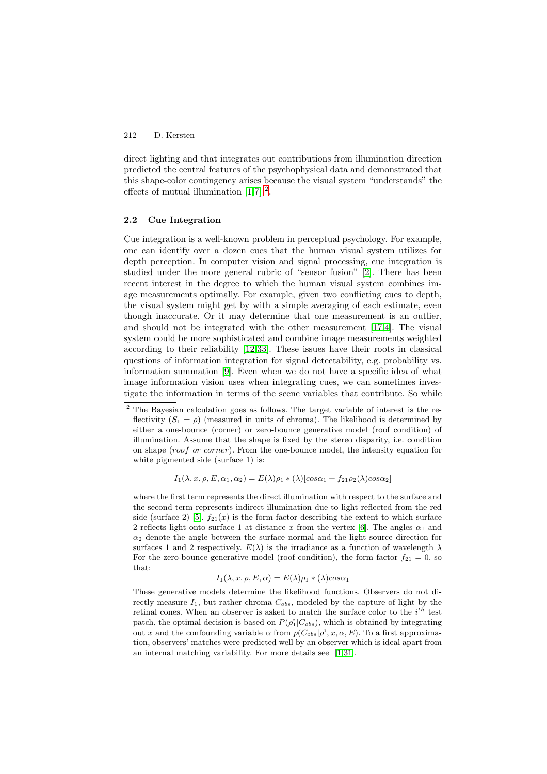<span id="page-5-0"></span>direct lighting and that integrates out contributions from illumination direction predicted the central features of the psychophysical data and demonstrated that this shape-color contingency arises because the visual system "understands" the effects of mutual illumination  $[1,7]$ <sup>2</sup>.

#### **2.2 Cue Integration**

Cue integration is a well-known problem in perceptual psychology. For example, one can identify over a dozen cues that the human visual system utilizes for depth perception. In computer vision and signal processing, cue integration is studied under the more general rubric of "sensor fusion" [\[2\]](#page-10-0). There has been recent interest in the degree to which the human visual system combines image measurements optimally. For example, given two conflicting cues to depth, the visual system might get by with a simple averaging of each estimate, even though inaccurate. Or it may determine that one measurement is an outlier, and should not be integrated with the other measurement [\[17](#page-11-0)[,4\]](#page-10-0). The visual system could be more sophisticated and combine image measurements weighted according to their reliability [\[12,](#page-10-0)[33\]](#page-11-0). These issues have their roots in classical questions of information integration for signal detectability, e.g. probability vs. information summation [\[9\]](#page-10-0). Even when we do not have a specific idea of what image information vision uses when integrating cues, we can sometimes investigate the information in terms of the scene variables that contribute. So while

$$
I_1(\lambda, x, \rho, E, \alpha_1, \alpha_2) = E(\lambda)\rho_1 * (\lambda)[cos\alpha_1 + f_{21}\rho_2(\lambda)cos\alpha_2]
$$

where the first term represents the direct illumination with respect to the surface and the second term represents indirect illumination due to light reflected from the red side (surface 2) [\[5\]](#page-10-0).  $f_{21}(x)$  is the form factor describing the extent to which surface 2 reflects light onto surface 1 at distance x from the vertex [\[6\]](#page-10-0). The angles  $\alpha_1$  and  $\alpha_2$  denote the angle between the surface normal and the light source direction for surfaces 1 and 2 respectively.  $E(\lambda)$  is the irradiance as a function of wavelength  $\lambda$ For the zero-bounce generative model (roof condition), the form factor  $f_{21} = 0$ , so that:

$$
I_1(\lambda, x, \rho, E, \alpha) = E(\lambda)\rho_1 * (\lambda)cos\alpha_1
$$

These generative models determine the likelihood functions. Observers do not directly measure  $I_1$ , but rather chroma  $C_{obs}$ , modeled by the capture of light by the retinal cones. When an observer is asked to match the surface color to the  $i^{th}$  test patch, the optimal decision is based on  $P(\rho_1^i|C_{obs})$ , which is obtained by integrating out x and the confounding variable  $\alpha$  from  $p(C_{obs}|\rho^i, x, \alpha, E)$ . To a first approximation, observers' matches were predicted well by an observer which is ideal apart from an internal matching variability. For more details see [\[1](#page-10-0)[,31\]](#page-11-0).

<sup>2</sup> The Bayesian calculation goes as follows. The target variable of interest is the reflectivity  $(S_1 = \rho)$  (measured in units of chroma). The likelihood is determined by either a one-bounce (corner) or zero-bounce generative model (roof condition) of illumination. Assume that the shape is fixed by the stereo disparity, i.e. condition on shape (roof or corner). From the one-bounce model, the intensity equation for white pigmented side (surface 1) is: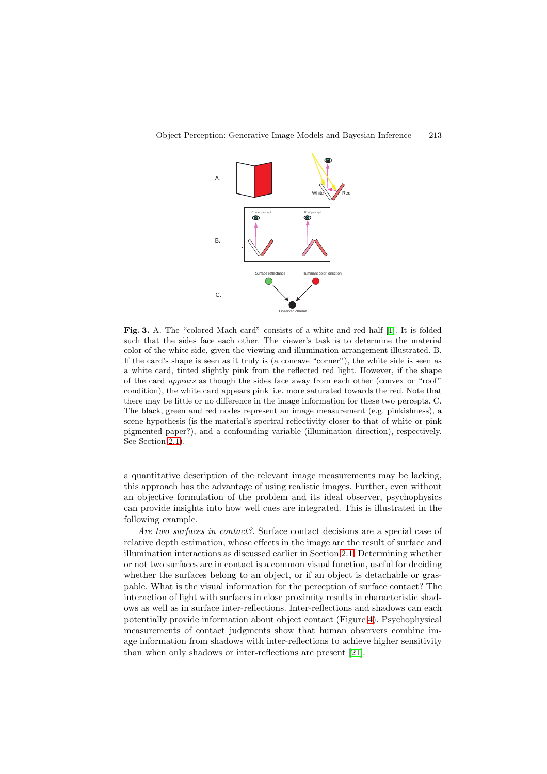<span id="page-6-0"></span>

**Fig. 3.** A. The "colored Mach card" consists of a white and red half [\[1\]](#page-10-0). It is folded such that the sides face each other. The viewer's task is to determine the material color of the white side, given the viewing and illumination arrangement illustrated. B. If the card's shape is seen as it truly is (a concave "corner"), the white side is seen as a white card, tinted slightly pink from the reflected red light. However, if the shape of the card appears as though the sides face away from each other (convex or "roof" condition), the white card appears pink–i.e. more saturated towards the red. Note that there may be little or no difference in the image information for these two percepts. C. The black, green and red nodes represent an image measurement (e.g. pinkishness), a scene hypothesis (is the material's spectral reflectivity closer to that of white or pink pigmented paper?), and a confounding variable (illumination direction), respectively. See Section [2.1\)](#page-4-0).

a quantitative description of the relevant image measurements may be lacking, this approach has the advantage of using realistic images. Further, even without an objective formulation of the problem and its ideal observer, psychophysics can provide insights into how well cues are integrated. This is illustrated in the following example.

Are two surfaces in contact?. Surface contact decisions are a special case of relative depth estimation, whose effects in the image are the result of surface and illumination interactions as discussed earlier in Section [2.1.](#page-4-0) Determining whether or not two surfaces are in contact is a common visual function, useful for deciding whether the surfaces belong to an object, or if an object is detachable or graspable. What is the visual information for the perception of surface contact? The interaction of light with surfaces in close proximity results in characteristic shadows as well as in surface inter-reflections. Inter-reflections and shadows can each potentially provide information about object contact (Figure [4\)](#page-7-0). Psychophysical measurements of contact judgments show that human observers combine image information from shadows with inter-reflections to achieve higher sensitivity than when only shadows or inter-reflections are present [\[21\]](#page-11-0).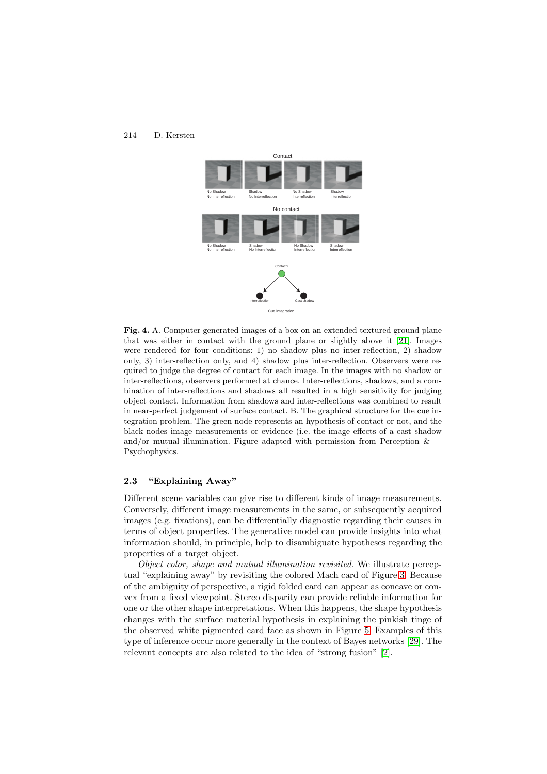<span id="page-7-0"></span>

**Fig. 4.** A. Computer generated images of a box on an extended textured ground plane that was either in contact with the ground plane or slightly above it [\[21\]](#page-11-0). Images were rendered for four conditions: 1) no shadow plus no inter-reflection, 2) shadow only, 3) inter-reflection only, and 4) shadow plus inter-reflection. Observers were required to judge the degree of contact for each image. In the images with no shadow or inter-reflections, observers performed at chance. Inter-reflections, shadows, and a combination of inter-reflections and shadows all resulted in a high sensitivity for judging object contact. Information from shadows and inter-reflections was combined to result in near-perfect judgement of surface contact. B. The graphical structure for the cue integration problem. The green node represents an hypothesis of contact or not, and the black nodes image measurements or evidence (i.e. the image effects of a cast shadow and/or mutual illumination. Figure adapted with permission from Perception  $\&$ Psychophysics.

#### **2.3 "Explaining Away"**

Different scene variables can give rise to different kinds of image measurements. Conversely, different image measurements in the same, or subsequently acquired images (e.g. fixations), can be differentially diagnostic regarding their causes in terms of object properties. The generative model can provide insights into what information should, in principle, help to disambiguate hypotheses regarding the properties of a target object.

Object color, shape and mutual illumination revisited. We illustrate perceptual "explaining away" by revisiting the colored Mach card of Figure [3.](#page-6-0) Because of the ambiguity of perspective, a rigid folded card can appear as concave or convex from a fixed viewpoint. Stereo disparity can provide reliable information for one or the other shape interpretations. When this happens, the shape hypothesis changes with the surface material hypothesis in explaining the pinkish tinge of the observed white pigmented card face as shown in Figure [5.](#page-8-0) Examples of this type of inference occur more generally in the context of Bayes networks [\[29\]](#page-11-0). The relevant concepts are also related to the idea of "strong fusion" [\[2\]](#page-10-0).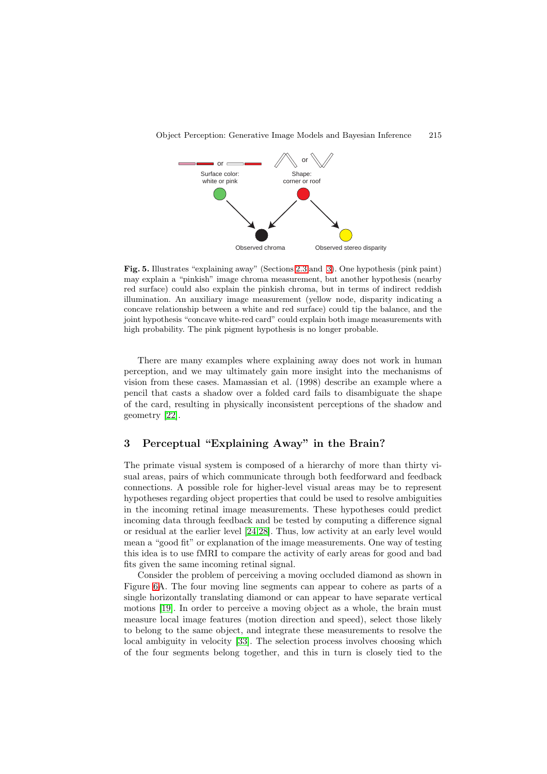<span id="page-8-0"></span>

**Fig. 5.** Illustrates "explaining away" (Sections [2.3](#page-7-0) and 3). One hypothesis (pink paint) may explain a "pinkish" image chroma measurement, but another hypothesis (nearby red surface) could also explain the pinkish chroma, but in terms of indirect reddish illumination. An auxiliary image measurement (yellow node, disparity indicating a concave relationship between a white and red surface) could tip the balance, and the joint hypothesis "concave white-red card" could explain both image measurements with high probability. The pink pigment hypothesis is no longer probable.

There are many examples where explaining away does not work in human perception, and we may ultimately gain more insight into the mechanisms of vision from these cases. Mamassian et al. (1998) describe an example where a pencil that casts a shadow over a folded card fails to disambiguate the shape of the card, resulting in physically inconsistent perceptions of the shadow and geometry [\[22\]](#page-11-0).

### **3 Perceptual "Explaining Away" in the Brain?**

The primate visual system is composed of a hierarchy of more than thirty visual areas, pairs of which communicate through both feedforward and feedback connections. A possible role for higher-level visual areas may be to represent hypotheses regarding object properties that could be used to resolve ambiguities in the incoming retinal image measurements. These hypotheses could predict incoming data through feedback and be tested by computing a difference signal or residual at the earlier level [\[24,28\]](#page-11-0). Thus, low activity at an early level would mean a "good fit" or explanation of the image measurements. One way of testing this idea is to use fMRI to compare the activity of early areas for good and bad fits given the same incoming retinal signal.

Consider the problem of perceiving a moving occluded diamond as shown in Figure [6A](#page-9-0). The four moving line segments can appear to cohere as parts of a single horizontally translating diamond or can appear to have separate vertical motions [\[19\]](#page-11-0). In order to perceive a moving object as a whole, the brain must measure local image features (motion direction and speed), select those likely to belong to the same object, and integrate these measurements to resolve the local ambiguity in velocity [\[33\]](#page-11-0). The selection process involves choosing which of the four segments belong together, and this in turn is closely tied to the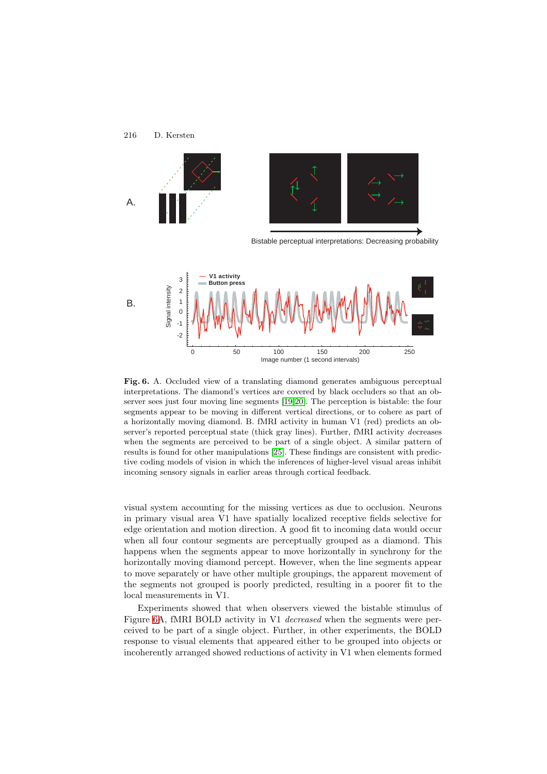<span id="page-9-0"></span>

**Fig. 6.** A. Occluded view of a translating diamond generates ambiguous perceptual interpretations. The diamond's vertices are covered by black occluders so that an observer sees just four moving line segments [\[19,20\]](#page-11-0). The perception is bistable: the four segments appear to be moving in different vertical directions, or to cohere as part of a horizontally moving diamond. B. fMRI activity in human V1 (red) predicts an observer's reported perceptual state (thick gray lines). Further, fMRI activity decreases when the segments are perceived to be part of a single object. A similar pattern of results is found for other manipulations [\[25\]](#page-11-0). These findings are consistent with predictive coding models of vision in which the inferences of higher-level visual areas inhibit incoming sensory signals in earlier areas through cortical feedback.

visual system accounting for the missing vertices as due to occlusion. Neurons in primary visual area V1 have spatially localized receptive fields selective for edge orientation and motion direction. A good fit to incoming data would occur when all four contour segments are perceptually grouped as a diamond. This happens when the segments appear to move horizontally in synchrony for the horizontally moving diamond percept. However, when the line segments appear to move separately or have other multiple groupings, the apparent movement of the segments not grouped is poorly predicted, resulting in a poorer fit to the local measurements in V1.

Experiments showed that when observers viewed the bistable stimulus of Figure 6A, fMRI BOLD activity in V1 decreased when the segments were perceived to be part of a single object. Further, in other experiments, the BOLD response to visual elements that appeared either to be grouped into objects or incoherently arranged showed reductions of activity in V1 when elements formed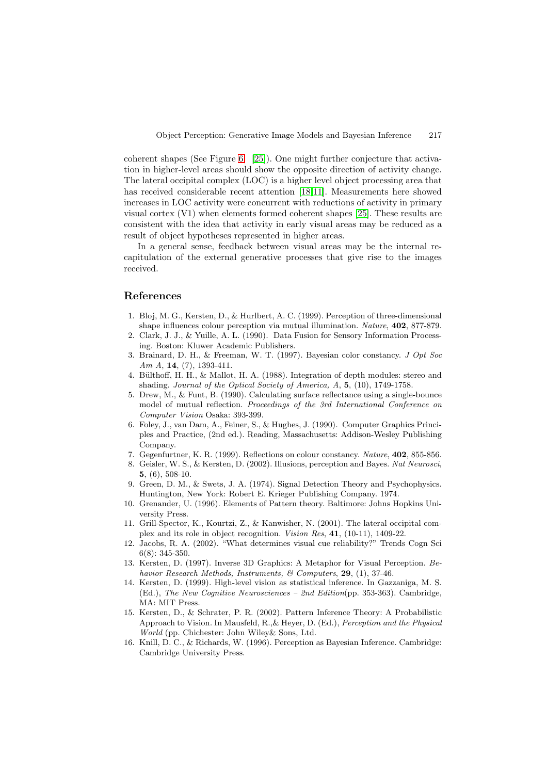<span id="page-10-0"></span>coherent shapes (See Figure [6;](#page-9-0) [\[25\]](#page-11-0)). One might further conjecture that activation in higher-level areas should show the opposite direction of activity change. The lateral occipital complex (LOC) is a higher level object processing area that has received considerable recent attention [\[18,](#page-11-0)11]. Measurements here showed increases in LOC activity were concurrent with reductions of activity in primary visual cortex (V1) when elements formed coherent shapes [\[25\]](#page-11-0). These results are consistent with the idea that activity in early visual areas may be reduced as a result of object hypotheses represented in higher areas.

In a general sense, feedback between visual areas may be the internal recapitulation of the external generative processes that give rise to the images received.

#### **References**

- 1. Bloj, M. G., Kersten, D., & Hurlbert, A. C. (1999). Perception of three-dimensional shape influences colour perception via mutual illumination. Nature, **402**, 877-879.
- 2. Clark, J. J., & Yuille, A. L. (1990). Data Fusion for Sensory Information Processing. Boston: Kluwer Academic Publishers.
- 3. Brainard, D. H., & Freeman, W. T. (1997). Bayesian color constancy. J Opt Soc Am A, **14**, (7), 1393-411.
- 4. Bülthoff, H. H., & Mallot, H. A. (1988). Integration of depth modules: stereo and shading. Journal of the Optical Society of America, A, **5**, (10), 1749-1758.
- 5. Drew, M., & Funt, B. (1990). Calculating surface reflectance using a single-bounce model of mutual reflection. Proceedings of the 3rd International Conference on Computer Vision Osaka: 393-399.
- 6. Foley, J., van Dam, A., Feiner, S., & Hughes, J. (1990). Computer Graphics Principles and Practice, (2nd ed.). Reading, Massachusetts: Addison-Wesley Publishing Company.
- 7. Gegenfurtner, K. R. (1999). Reflections on colour constancy. Nature, **402**, 855-856.
- 8. Geisler, W. S., & Kersten, D. (2002). Illusions, perception and Bayes. Nat Neurosci, **5**, (6), 508-10.
- 9. Green, D. M., & Swets, J. A. (1974). Signal Detection Theory and Psychophysics. Huntington, New York: Robert E. Krieger Publishing Company. 1974.
- 10. Grenander, U. (1996). Elements of Pattern theory. Baltimore: Johns Hopkins University Press.
- 11. Grill-Spector, K., Kourtzi, Z., & Kanwisher, N. (2001). The lateral occipital complex and its role in object recognition. Vision Res, **41**, (10-11), 1409-22.
- 12. Jacobs, R. A. (2002). "What determines visual cue reliability?" Trends Cogn Sci 6(8): 345-350.
- 13. Kersten, D. (1997). Inverse 3D Graphics: A Metaphor for Visual Perception. Behavior Research Methods, Instruments, & Computers, **29**, (1), 37-46.
- 14. Kersten, D. (1999). High-level vision as statistical inference. In Gazzaniga, M. S. (Ed.), The New Cognitive Neurosciences – 2nd Edition(pp. 353-363). Cambridge, MA: MIT Press.
- 15. Kersten, D., & Schrater, P. R. (2002). Pattern Inference Theory: A Probabilistic Approach to Vision. In Mausfeld, R.,& Heyer, D. (Ed.), Perception and the Physical World (pp. Chichester: John Wiley& Sons, Ltd.
- 16. Knill, D. C., & Richards, W. (1996). Perception as Bayesian Inference. Cambridge: Cambridge University Press.